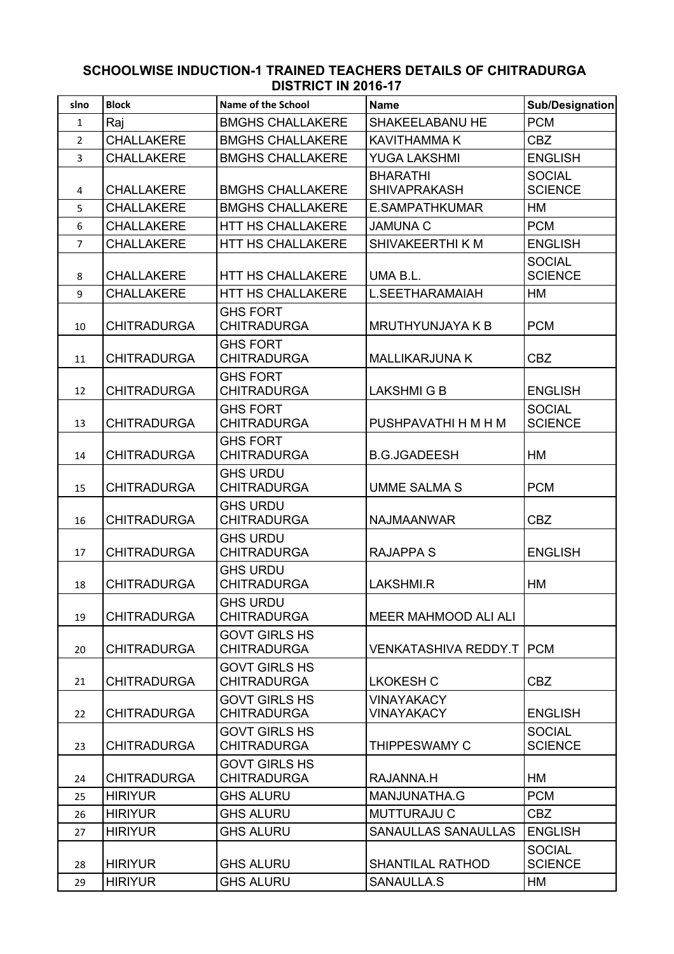## **SCHOOLWISE INDUCTION-1 TRAINED TEACHERS DETAILS OF CHITRADURGA DISTRICT IN 2016-17**

| slno           | <b>Block</b>       | Name of the School                         | <b>Name</b>                            | <b>Sub/Designation</b>          |
|----------------|--------------------|--------------------------------------------|----------------------------------------|---------------------------------|
| $\mathbf{1}$   | Raj                | <b>BMGHS CHALLAKERE</b>                    | <b>SHAKEELABANU HE</b>                 | <b>PCM</b>                      |
| $\overline{2}$ | <b>CHALLAKERE</b>  | <b>BMGHS CHALLAKERE</b>                    | <b>KAVITHAMMA K</b>                    | <b>CBZ</b>                      |
| $\overline{3}$ | <b>CHALLAKERE</b>  | <b>BMGHS CHALLAKERE</b>                    | <b>YUGA LAKSHMI</b>                    | <b>ENGLISH</b>                  |
| 4              | <b>CHALLAKERE</b>  | <b>BMGHS CHALLAKERE</b>                    | <b>BHARATHI</b><br><b>SHIVAPRAKASH</b> | <b>SOCIAL</b><br><b>SCIENCE</b> |
| 5              | <b>CHALLAKERE</b>  | <b>BMGHS CHALLAKERE</b>                    | E.SAMPATHKUMAR                         | HM                              |
| 6              | <b>CHALLAKERE</b>  | HTT HS CHALLAKERE                          | <b>JAMUNA C</b>                        | <b>PCM</b>                      |
| $\overline{7}$ | <b>CHALLAKERE</b>  | <b>HTT HS CHALLAKERE</b>                   | SHIVAKEERTHI K M                       | <b>ENGLISH</b>                  |
| 8              | <b>CHALLAKERE</b>  | <b>HTT HS CHALLAKERE</b>                   | UMA B.L.                               | <b>SOCIAL</b><br><b>SCIENCE</b> |
| 9              | <b>CHALLAKERE</b>  | HTT HS CHALLAKERE                          | L.SEETHARAMAIAH                        | <b>HM</b>                       |
| 10             | <b>CHITRADURGA</b> | <b>GHS FORT</b><br><b>CHITRADURGA</b>      | <b>MRUTHYUNJAYA K B</b>                | <b>PCM</b>                      |
| 11             | <b>CHITRADURGA</b> | <b>GHS FORT</b><br><b>CHITRADURGA</b>      | <b>MALLIKARJUNA K</b>                  | <b>CBZ</b>                      |
| 12             | <b>CHITRADURGA</b> | <b>GHS FORT</b><br><b>CHITRADURGA</b>      | <b>LAKSHMIGB</b>                       | <b>ENGLISH</b>                  |
| 13             | <b>CHITRADURGA</b> | <b>GHS FORT</b><br><b>CHITRADURGA</b>      | PUSHPAVATHI H M H M                    | <b>SOCIAL</b><br><b>SCIENCE</b> |
| 14             | <b>CHITRADURGA</b> | <b>GHS FORT</b><br><b>CHITRADURGA</b>      | <b>B.G.JGADEESH</b>                    | <b>HM</b>                       |
| 15             | <b>CHITRADURGA</b> | <b>GHS URDU</b><br><b>CHITRADURGA</b>      | <b>UMME SALMA S</b>                    | <b>PCM</b>                      |
| 16             | <b>CHITRADURGA</b> | <b>GHS URDU</b><br><b>CHITRADURGA</b>      | <b>NAJMAANWAR</b>                      | <b>CBZ</b>                      |
| 17             | <b>CHITRADURGA</b> | <b>GHS URDU</b><br><b>CHITRADURGA</b>      | <b>RAJAPPA S</b>                       | <b>ENGLISH</b>                  |
| 18             | <b>CHITRADURGA</b> | <b>GHS URDU</b><br><b>CHITRADURGA</b>      | LAKSHMI.R                              | HM                              |
| 19             | <b>CHITRADURGA</b> | <b>GHS URDU</b><br><b>CHITRADURGA</b>      | MEER MAHMOOD ALI ALI                   |                                 |
| 20             | <b>CHITRADURGA</b> | <b>GOVT GIRLS HS</b><br><b>CHITRADURGA</b> | <b>VENKATASHIVA REDDY.T   PCM</b>      |                                 |
| 21             | <b>CHITRADURGA</b> | <b>GOVT GIRLS HS</b><br><b>CHITRADURGA</b> | <b>LKOKESH C</b>                       | <b>CBZ</b>                      |
| 22             | <b>CHITRADURGA</b> | <b>GOVT GIRLS HS</b><br><b>CHITRADURGA</b> | <b>VINAYAKACY</b><br><b>VINAYAKACY</b> | <b>ENGLISH</b>                  |
| 23             | <b>CHITRADURGA</b> | <b>GOVT GIRLS HS</b><br><b>CHITRADURGA</b> | THIPPESWAMY C                          | <b>SOCIAL</b><br><b>SCIENCE</b> |
| 24             | <b>CHITRADURGA</b> | <b>GOVT GIRLS HS</b><br><b>CHITRADURGA</b> | RAJANNA.H                              | HM                              |
| 25             | <b>HIRIYUR</b>     | <b>GHS ALURU</b>                           | MANJUNATHA.G                           | <b>PCM</b>                      |
| 26             | <b>HIRIYUR</b>     | <b>GHS ALURU</b>                           | <b>MUTTURAJU C</b>                     | <b>CBZ</b>                      |
| 27             | <b>HIRIYUR</b>     | <b>GHS ALURU</b>                           | <b>SANAULLAS SANAULLAS</b>             | <b>ENGLISH</b>                  |
| 28             | <b>HIRIYUR</b>     | <b>GHS ALURU</b>                           | <b>SHANTILAL RATHOD</b>                | <b>SOCIAL</b><br><b>SCIENCE</b> |
| 29             | <b>HIRIYUR</b>     | <b>GHS ALURU</b>                           | SANAULLA.S                             | HM                              |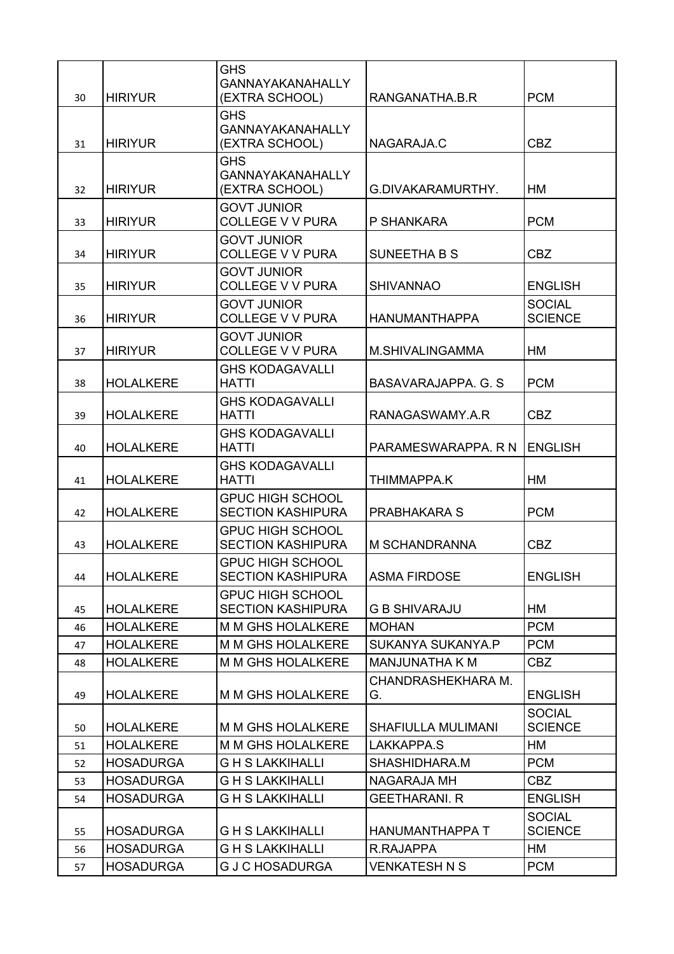|    |                  | <b>GHS</b>                                          |                           |                                 |
|----|------------------|-----------------------------------------------------|---------------------------|---------------------------------|
| 30 | <b>HIRIYUR</b>   | <b>GANNAYAKANAHALLY</b><br>(EXTRA SCHOOL)           | RANGANATHA.B.R            | <b>PCM</b>                      |
|    |                  | <b>GHS</b>                                          |                           |                                 |
|    |                  | <b>GANNAYAKANAHALLY</b>                             |                           |                                 |
| 31 | <b>HIRIYUR</b>   | (EXTRA SCHOOL)                                      | NAGARAJA.C                | <b>CBZ</b>                      |
|    |                  | <b>GHS</b>                                          |                           |                                 |
| 32 | <b>HIRIYUR</b>   | <b>GANNAYAKANAHALLY</b><br>(EXTRA SCHOOL)           | G.DIVAKARAMURTHY.         | HM                              |
|    |                  | <b>GOVT JUNIOR</b>                                  |                           |                                 |
| 33 | <b>HIRIYUR</b>   | <b>COLLEGE V V PURA</b>                             | P SHANKARA                | <b>PCM</b>                      |
|    |                  | <b>GOVT JUNIOR</b>                                  |                           |                                 |
| 34 | <b>HIRIYUR</b>   | <b>COLLEGE V V PURA</b>                             | <b>SUNEETHA B S</b>       | <b>CBZ</b>                      |
| 35 | <b>HIRIYUR</b>   | <b>GOVT JUNIOR</b><br><b>COLLEGE V V PURA</b>       | <b>SHIVANNAO</b>          | <b>ENGLISH</b>                  |
|    |                  | <b>GOVT JUNIOR</b>                                  |                           | <b>SOCIAL</b>                   |
| 36 | <b>HIRIYUR</b>   | <b>COLLEGE V V PURA</b>                             | <b>HANUMANTHAPPA</b>      | <b>SCIENCE</b>                  |
|    |                  | <b>GOVT JUNIOR</b>                                  |                           |                                 |
| 37 | <b>HIRIYUR</b>   | <b>COLLEGE V V PURA</b>                             | M.SHIVALINGAMMA           | <b>HM</b>                       |
| 38 | <b>HOLALKERE</b> | <b>GHS KODAGAVALLI</b><br><b>HATTI</b>              | BASAVARAJAPPA. G. S.      | <b>PCM</b>                      |
|    |                  | <b>GHS KODAGAVALLI</b>                              |                           |                                 |
| 39 | <b>HOLALKERE</b> | <b>HATTI</b>                                        | RANAGASWAMY.A.R           | <b>CBZ</b>                      |
|    |                  | <b>GHS KODAGAVALLI</b>                              |                           |                                 |
| 40 | <b>HOLALKERE</b> | <b>HATTI</b>                                        | PARAMESWARAPPA. R N       | <b>ENGLISH</b>                  |
| 41 | <b>HOLALKERE</b> | <b>GHS KODAGAVALLI</b><br>HATTI                     | THIMMAPPA.K               | HM                              |
|    |                  | <b>GPUC HIGH SCHOOL</b>                             |                           |                                 |
| 42 | <b>HOLALKERE</b> | <b>SECTION KASHIPURA</b>                            | <b>PRABHAKARA S</b>       | <b>PCM</b>                      |
|    |                  | <b>GPUC HIGH SCHOOL</b>                             |                           |                                 |
| 43 | <b>HOLALKERE</b> | <b>SECTION KASHIPURA</b>                            | <b>M SCHANDRANNA</b>      | <b>CBZ</b>                      |
| 44 | <b>HOLALKERE</b> | <b>GPUC HIGH SCHOOL</b><br><b>SECTION KASHIPURA</b> | <b>ASMA FIRDOSE</b>       | <b>ENGLISH</b>                  |
|    |                  | <b>GPUC HIGH SCHOOL</b>                             |                           |                                 |
| 45 | <b>HOLALKERE</b> | <b>SECTION KASHIPURA</b>                            | <b>G B SHIVARAJU</b>      | HM                              |
| 46 | <b>HOLALKERE</b> | M M GHS HOLALKERE                                   | <b>MOHAN</b>              | <b>PCM</b>                      |
| 47 | <b>HOLALKERE</b> | <b>M M GHS HOLALKERE</b>                            | SUKANYA SUKANYA.P         | <b>PCM</b>                      |
| 48 | <b>HOLALKERE</b> | <b>M M GHS HOLALKERE</b>                            | <b>MANJUNATHA K M</b>     | <b>CBZ</b>                      |
|    |                  |                                                     | CHANDRASHEKHARA M.        |                                 |
| 49 | <b>HOLALKERE</b> | M M GHS HOLALKERE                                   | G.                        | <b>ENGLISH</b>                  |
| 50 | <b>HOLALKERE</b> | M M GHS HOLALKERE                                   | <b>SHAFIULLA MULIMANI</b> | <b>SOCIAL</b><br><b>SCIENCE</b> |
| 51 | <b>HOLALKERE</b> | <b>M M GHS HOLALKERE</b>                            | LAKKAPPA.S                | HM                              |
| 52 | <b>HOSADURGA</b> | <b>GHS LAKKIHALLI</b>                               | SHASHIDHARA.M             | <b>PCM</b>                      |
| 53 | <b>HOSADURGA</b> | <b>GHSLAKKIHALLI</b>                                | <b>NAGARAJA MH</b>        | <b>CBZ</b>                      |
| 54 | <b>HOSADURGA</b> | <b>GHS LAKKIHALLI</b>                               | <b>GEETHARANI. R</b>      | <b>ENGLISH</b>                  |
|    |                  |                                                     |                           | <b>SOCIAL</b>                   |
| 55 | <b>HOSADURGA</b> | <b>GHSLAKKIHALLI</b>                                | <b>HANUMANTHAPPA T</b>    | <b>SCIENCE</b>                  |
| 56 | <b>HOSADURGA</b> | <b>GHS LAKKIHALLI</b>                               | R.RAJAPPA                 | HM                              |
| 57 | <b>HOSADURGA</b> | <b>G J C HOSADURGA</b>                              | <b>VENKATESH N S</b>      | <b>PCM</b>                      |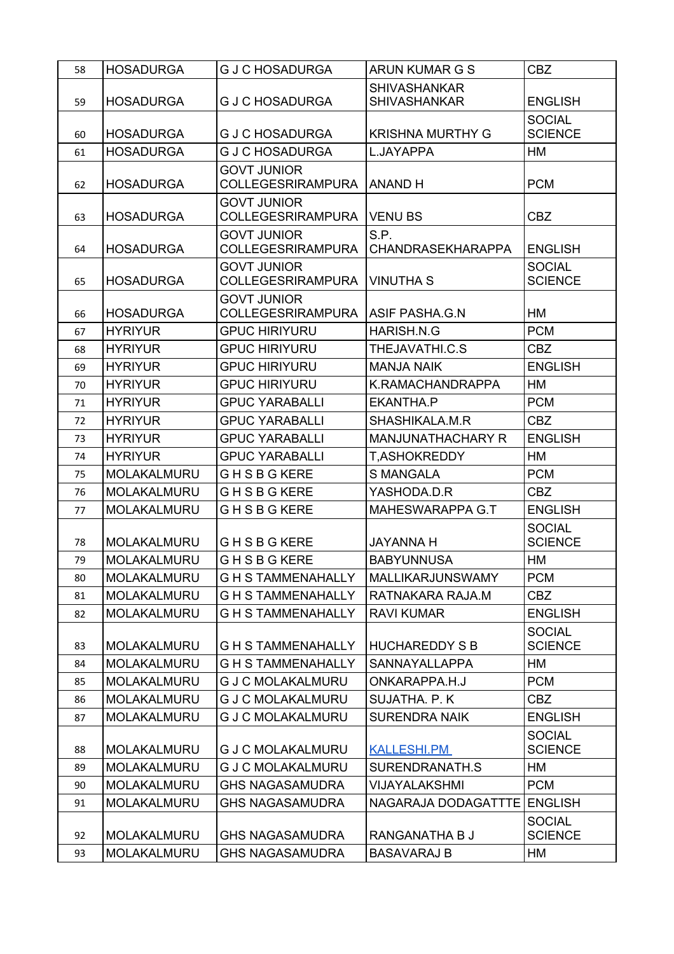| <b>SHIVASHANKAR</b><br><b>HOSADURGA</b><br><b>GJCHOSADURGA</b><br><b>SHIVASHANKAR</b><br><b>ENGLISH</b><br>59<br><b>SOCIAL</b><br><b>HOSADURGA</b><br><b>KRISHNA MURTHY G</b><br><b>SCIENCE</b><br><b>G J C HOSADURGA</b><br>60<br><b>HOSADURGA</b><br><b>G J C HOSADURGA</b><br>L.JAYAPPA<br>HM<br>61<br><b>GOVT JUNIOR</b><br><b>HOSADURGA</b><br><b>COLLEGESRIRAMPURA</b><br><b>ANAND H</b><br><b>PCM</b><br>62<br><b>GOVT JUNIOR</b><br><b>COLLEGESRIRAMPURA</b><br><b>CBZ</b><br><b>HOSADURGA</b><br>VENU BS<br>63<br>S.P.<br><b>GOVT JUNIOR</b><br><b>HOSADURGA</b><br><b>COLLEGESRIRAMPURA</b><br><b>CHANDRASEKHARAPPA</b><br><b>ENGLISH</b><br>64<br><b>SOCIAL</b><br><b>GOVT JUNIOR</b><br><b>HOSADURGA</b><br><b>COLLEGESRIRAMPURA</b><br><b>VINUTHA S</b><br><b>SCIENCE</b><br>65<br><b>GOVT JUNIOR</b><br><b>COLLEGESRIRAMPURA</b><br>ASIF PASHA.G.N<br>HM<br><b>HOSADURGA</b><br>66<br><b>PCM</b><br><b>HYRIYUR</b><br><b>GPUC HIRIYURU</b><br>HARISH.N.G<br>67<br><b>HYRIYUR</b><br><b>GPUC HIRIYURU</b><br>THEJAVATHI.C.S<br><b>CBZ</b><br>68<br><b>ENGLISH</b><br><b>HYRIYUR</b><br><b>GPUC HIRIYURU</b><br><b>MANJA NAIK</b><br>69<br><b>GPUC HIRIYURU</b><br><b>HYRIYUR</b><br>K.RAMACHANDRAPPA<br>HM<br>70<br><b>PCM</b><br><b>HYRIYUR</b><br><b>GPUC YARABALLI</b><br>EKANTHA.P<br>71<br><b>HYRIYUR</b><br><b>GPUC YARABALLI</b><br>SHASHIKALA.M.R<br><b>CBZ</b><br>72<br><b>HYRIYUR</b><br><b>GPUC YARABALLI</b><br>MANJUNATHACHARY R<br><b>ENGLISH</b><br>73<br><b>HYRIYUR</b><br><b>GPUC YARABALLI</b><br><b>T,ASHOKREDDY</b><br>HM<br>74<br><b>PCM</b><br>MOLAKALMURU<br><b>GHSBGKERE</b><br><b>S MANGALA</b><br>75<br><b>CBZ</b><br>MOLAKALMURU<br><b>GHSBGKERE</b><br>YASHODA.D.R<br>76<br>MAHESWARAPPA G.T<br>MOLAKALMURU<br><b>GHSBGKERE</b><br><b>ENGLISH</b><br>77<br><b>SOCIAL</b><br><b>SCIENCE</b><br><b>MOLAKALMURU</b><br><b>GHSBGKERE</b><br><b>JAYANNA H</b><br>78<br><b>BABYUNNUSA</b><br>HM<br><b>MOLAKALMURU</b><br><b>GHSBGKERE</b><br>79<br><b>PCM</b><br>MOLAKALMURU<br><b>G H S TAMMENAHALLY</b><br>MALLIKARJUNSWAMY<br>80<br><b>CBZ</b><br>MOLAKALMURU<br><b>GH STAMMENAHALLY</b><br>RATNAKARA RAJA.M<br>81<br>MOLAKALMURU<br><b>GHSTAMMENAHALLY</b><br><b>RAVI KUMAR</b><br><b>ENGLISH</b><br>82<br><b>SOCIAL</b><br>MOLAKALMURU<br><b>GHS TAMMENAHALLY</b><br><b>HUCHAREDDY S B</b><br><b>SCIENCE</b><br>83<br>MOLAKALMURU<br><b>GH STAMMENAHALLY</b><br>SANNAYALLAPPA<br>НM<br>84<br><b>MOLAKALMURU</b><br><b>G J C MOLAKALMURU</b><br>ONKARAPPA.H.J<br><b>PCM</b><br>85<br>MOLAKALMURU<br><b>G J C MOLAKALMURU</b><br>SUJATHA. P. K<br><b>CBZ</b><br>86<br><b>G J C MOLAKALMURU</b><br><b>ENGLISH</b><br>MOLAKALMURU<br><b>SURENDRA NAIK</b><br>87<br><b>SOCIAL</b><br>MOLAKALMURU<br><b>G J C MOLAKALMURU</b><br><b>SCIENCE</b><br><b>KALLESHI.PM</b><br>88<br>MOLAKALMURU<br><b>G J C MOLAKALMURU</b><br>HM<br>SURENDRANATH.S<br>89<br><b>PCM</b><br>MOLAKALMURU<br><b>GHS NAGASAMUDRA</b><br>VIJAYALAKSHMI<br>90<br>MOLAKALMURU<br>NAGARAJA DODAGATTTE<br><b>ENGLISH</b><br><b>GHS NAGASAMUDRA</b><br>91<br><b>SOCIAL</b><br>MOLAKALMURU<br><b>GHS NAGASAMUDRA</b><br>RANGANATHA B J<br><b>SCIENCE</b><br>92<br>MOLAKALMURU<br><b>BASAVARAJ B</b><br>НM<br><b>GHS NAGASAMUDRA</b><br>93 | 58 | <b>HOSADURGA</b> | <b>G J C HOSADURGA</b> | ARUN KUMAR G S | <b>CBZ</b> |
|---------------------------------------------------------------------------------------------------------------------------------------------------------------------------------------------------------------------------------------------------------------------------------------------------------------------------------------------------------------------------------------------------------------------------------------------------------------------------------------------------------------------------------------------------------------------------------------------------------------------------------------------------------------------------------------------------------------------------------------------------------------------------------------------------------------------------------------------------------------------------------------------------------------------------------------------------------------------------------------------------------------------------------------------------------------------------------------------------------------------------------------------------------------------------------------------------------------------------------------------------------------------------------------------------------------------------------------------------------------------------------------------------------------------------------------------------------------------------------------------------------------------------------------------------------------------------------------------------------------------------------------------------------------------------------------------------------------------------------------------------------------------------------------------------------------------------------------------------------------------------------------------------------------------------------------------------------------------------------------------------------------------------------------------------------------------------------------------------------------------------------------------------------------------------------------------------------------------------------------------------------------------------------------------------------------------------------------------------------------------------------------------------------------------------------------------------------------------------------------------------------------------------------------------------------------------------------------------------------------------------------------------------------------------------------------------------------------------------------------------------------------------------------------------------------------------------------------------------------------------------------------------------------------------------------------------------------------------------------------------------------------------------------------------------------------------------------------------------------------------------------------------------------------------------------------------------------------------------------------------|----|------------------|------------------------|----------------|------------|
|                                                                                                                                                                                                                                                                                                                                                                                                                                                                                                                                                                                                                                                                                                                                                                                                                                                                                                                                                                                                                                                                                                                                                                                                                                                                                                                                                                                                                                                                                                                                                                                                                                                                                                                                                                                                                                                                                                                                                                                                                                                                                                                                                                                                                                                                                                                                                                                                                                                                                                                                                                                                                                                                                                                                                                                                                                                                                                                                                                                                                                                                                                                                                                                                                                             |    |                  |                        |                |            |
|                                                                                                                                                                                                                                                                                                                                                                                                                                                                                                                                                                                                                                                                                                                                                                                                                                                                                                                                                                                                                                                                                                                                                                                                                                                                                                                                                                                                                                                                                                                                                                                                                                                                                                                                                                                                                                                                                                                                                                                                                                                                                                                                                                                                                                                                                                                                                                                                                                                                                                                                                                                                                                                                                                                                                                                                                                                                                                                                                                                                                                                                                                                                                                                                                                             |    |                  |                        |                |            |
|                                                                                                                                                                                                                                                                                                                                                                                                                                                                                                                                                                                                                                                                                                                                                                                                                                                                                                                                                                                                                                                                                                                                                                                                                                                                                                                                                                                                                                                                                                                                                                                                                                                                                                                                                                                                                                                                                                                                                                                                                                                                                                                                                                                                                                                                                                                                                                                                                                                                                                                                                                                                                                                                                                                                                                                                                                                                                                                                                                                                                                                                                                                                                                                                                                             |    |                  |                        |                |            |
|                                                                                                                                                                                                                                                                                                                                                                                                                                                                                                                                                                                                                                                                                                                                                                                                                                                                                                                                                                                                                                                                                                                                                                                                                                                                                                                                                                                                                                                                                                                                                                                                                                                                                                                                                                                                                                                                                                                                                                                                                                                                                                                                                                                                                                                                                                                                                                                                                                                                                                                                                                                                                                                                                                                                                                                                                                                                                                                                                                                                                                                                                                                                                                                                                                             |    |                  |                        |                |            |
|                                                                                                                                                                                                                                                                                                                                                                                                                                                                                                                                                                                                                                                                                                                                                                                                                                                                                                                                                                                                                                                                                                                                                                                                                                                                                                                                                                                                                                                                                                                                                                                                                                                                                                                                                                                                                                                                                                                                                                                                                                                                                                                                                                                                                                                                                                                                                                                                                                                                                                                                                                                                                                                                                                                                                                                                                                                                                                                                                                                                                                                                                                                                                                                                                                             |    |                  |                        |                |            |
|                                                                                                                                                                                                                                                                                                                                                                                                                                                                                                                                                                                                                                                                                                                                                                                                                                                                                                                                                                                                                                                                                                                                                                                                                                                                                                                                                                                                                                                                                                                                                                                                                                                                                                                                                                                                                                                                                                                                                                                                                                                                                                                                                                                                                                                                                                                                                                                                                                                                                                                                                                                                                                                                                                                                                                                                                                                                                                                                                                                                                                                                                                                                                                                                                                             |    |                  |                        |                |            |
|                                                                                                                                                                                                                                                                                                                                                                                                                                                                                                                                                                                                                                                                                                                                                                                                                                                                                                                                                                                                                                                                                                                                                                                                                                                                                                                                                                                                                                                                                                                                                                                                                                                                                                                                                                                                                                                                                                                                                                                                                                                                                                                                                                                                                                                                                                                                                                                                                                                                                                                                                                                                                                                                                                                                                                                                                                                                                                                                                                                                                                                                                                                                                                                                                                             |    |                  |                        |                |            |
|                                                                                                                                                                                                                                                                                                                                                                                                                                                                                                                                                                                                                                                                                                                                                                                                                                                                                                                                                                                                                                                                                                                                                                                                                                                                                                                                                                                                                                                                                                                                                                                                                                                                                                                                                                                                                                                                                                                                                                                                                                                                                                                                                                                                                                                                                                                                                                                                                                                                                                                                                                                                                                                                                                                                                                                                                                                                                                                                                                                                                                                                                                                                                                                                                                             |    |                  |                        |                |            |
|                                                                                                                                                                                                                                                                                                                                                                                                                                                                                                                                                                                                                                                                                                                                                                                                                                                                                                                                                                                                                                                                                                                                                                                                                                                                                                                                                                                                                                                                                                                                                                                                                                                                                                                                                                                                                                                                                                                                                                                                                                                                                                                                                                                                                                                                                                                                                                                                                                                                                                                                                                                                                                                                                                                                                                                                                                                                                                                                                                                                                                                                                                                                                                                                                                             |    |                  |                        |                |            |
|                                                                                                                                                                                                                                                                                                                                                                                                                                                                                                                                                                                                                                                                                                                                                                                                                                                                                                                                                                                                                                                                                                                                                                                                                                                                                                                                                                                                                                                                                                                                                                                                                                                                                                                                                                                                                                                                                                                                                                                                                                                                                                                                                                                                                                                                                                                                                                                                                                                                                                                                                                                                                                                                                                                                                                                                                                                                                                                                                                                                                                                                                                                                                                                                                                             |    |                  |                        |                |            |
|                                                                                                                                                                                                                                                                                                                                                                                                                                                                                                                                                                                                                                                                                                                                                                                                                                                                                                                                                                                                                                                                                                                                                                                                                                                                                                                                                                                                                                                                                                                                                                                                                                                                                                                                                                                                                                                                                                                                                                                                                                                                                                                                                                                                                                                                                                                                                                                                                                                                                                                                                                                                                                                                                                                                                                                                                                                                                                                                                                                                                                                                                                                                                                                                                                             |    |                  |                        |                |            |
|                                                                                                                                                                                                                                                                                                                                                                                                                                                                                                                                                                                                                                                                                                                                                                                                                                                                                                                                                                                                                                                                                                                                                                                                                                                                                                                                                                                                                                                                                                                                                                                                                                                                                                                                                                                                                                                                                                                                                                                                                                                                                                                                                                                                                                                                                                                                                                                                                                                                                                                                                                                                                                                                                                                                                                                                                                                                                                                                                                                                                                                                                                                                                                                                                                             |    |                  |                        |                |            |
|                                                                                                                                                                                                                                                                                                                                                                                                                                                                                                                                                                                                                                                                                                                                                                                                                                                                                                                                                                                                                                                                                                                                                                                                                                                                                                                                                                                                                                                                                                                                                                                                                                                                                                                                                                                                                                                                                                                                                                                                                                                                                                                                                                                                                                                                                                                                                                                                                                                                                                                                                                                                                                                                                                                                                                                                                                                                                                                                                                                                                                                                                                                                                                                                                                             |    |                  |                        |                |            |
|                                                                                                                                                                                                                                                                                                                                                                                                                                                                                                                                                                                                                                                                                                                                                                                                                                                                                                                                                                                                                                                                                                                                                                                                                                                                                                                                                                                                                                                                                                                                                                                                                                                                                                                                                                                                                                                                                                                                                                                                                                                                                                                                                                                                                                                                                                                                                                                                                                                                                                                                                                                                                                                                                                                                                                                                                                                                                                                                                                                                                                                                                                                                                                                                                                             |    |                  |                        |                |            |
|                                                                                                                                                                                                                                                                                                                                                                                                                                                                                                                                                                                                                                                                                                                                                                                                                                                                                                                                                                                                                                                                                                                                                                                                                                                                                                                                                                                                                                                                                                                                                                                                                                                                                                                                                                                                                                                                                                                                                                                                                                                                                                                                                                                                                                                                                                                                                                                                                                                                                                                                                                                                                                                                                                                                                                                                                                                                                                                                                                                                                                                                                                                                                                                                                                             |    |                  |                        |                |            |
|                                                                                                                                                                                                                                                                                                                                                                                                                                                                                                                                                                                                                                                                                                                                                                                                                                                                                                                                                                                                                                                                                                                                                                                                                                                                                                                                                                                                                                                                                                                                                                                                                                                                                                                                                                                                                                                                                                                                                                                                                                                                                                                                                                                                                                                                                                                                                                                                                                                                                                                                                                                                                                                                                                                                                                                                                                                                                                                                                                                                                                                                                                                                                                                                                                             |    |                  |                        |                |            |
|                                                                                                                                                                                                                                                                                                                                                                                                                                                                                                                                                                                                                                                                                                                                                                                                                                                                                                                                                                                                                                                                                                                                                                                                                                                                                                                                                                                                                                                                                                                                                                                                                                                                                                                                                                                                                                                                                                                                                                                                                                                                                                                                                                                                                                                                                                                                                                                                                                                                                                                                                                                                                                                                                                                                                                                                                                                                                                                                                                                                                                                                                                                                                                                                                                             |    |                  |                        |                |            |
|                                                                                                                                                                                                                                                                                                                                                                                                                                                                                                                                                                                                                                                                                                                                                                                                                                                                                                                                                                                                                                                                                                                                                                                                                                                                                                                                                                                                                                                                                                                                                                                                                                                                                                                                                                                                                                                                                                                                                                                                                                                                                                                                                                                                                                                                                                                                                                                                                                                                                                                                                                                                                                                                                                                                                                                                                                                                                                                                                                                                                                                                                                                                                                                                                                             |    |                  |                        |                |            |
|                                                                                                                                                                                                                                                                                                                                                                                                                                                                                                                                                                                                                                                                                                                                                                                                                                                                                                                                                                                                                                                                                                                                                                                                                                                                                                                                                                                                                                                                                                                                                                                                                                                                                                                                                                                                                                                                                                                                                                                                                                                                                                                                                                                                                                                                                                                                                                                                                                                                                                                                                                                                                                                                                                                                                                                                                                                                                                                                                                                                                                                                                                                                                                                                                                             |    |                  |                        |                |            |
|                                                                                                                                                                                                                                                                                                                                                                                                                                                                                                                                                                                                                                                                                                                                                                                                                                                                                                                                                                                                                                                                                                                                                                                                                                                                                                                                                                                                                                                                                                                                                                                                                                                                                                                                                                                                                                                                                                                                                                                                                                                                                                                                                                                                                                                                                                                                                                                                                                                                                                                                                                                                                                                                                                                                                                                                                                                                                                                                                                                                                                                                                                                                                                                                                                             |    |                  |                        |                |            |
|                                                                                                                                                                                                                                                                                                                                                                                                                                                                                                                                                                                                                                                                                                                                                                                                                                                                                                                                                                                                                                                                                                                                                                                                                                                                                                                                                                                                                                                                                                                                                                                                                                                                                                                                                                                                                                                                                                                                                                                                                                                                                                                                                                                                                                                                                                                                                                                                                                                                                                                                                                                                                                                                                                                                                                                                                                                                                                                                                                                                                                                                                                                                                                                                                                             |    |                  |                        |                |            |
|                                                                                                                                                                                                                                                                                                                                                                                                                                                                                                                                                                                                                                                                                                                                                                                                                                                                                                                                                                                                                                                                                                                                                                                                                                                                                                                                                                                                                                                                                                                                                                                                                                                                                                                                                                                                                                                                                                                                                                                                                                                                                                                                                                                                                                                                                                                                                                                                                                                                                                                                                                                                                                                                                                                                                                                                                                                                                                                                                                                                                                                                                                                                                                                                                                             |    |                  |                        |                |            |
|                                                                                                                                                                                                                                                                                                                                                                                                                                                                                                                                                                                                                                                                                                                                                                                                                                                                                                                                                                                                                                                                                                                                                                                                                                                                                                                                                                                                                                                                                                                                                                                                                                                                                                                                                                                                                                                                                                                                                                                                                                                                                                                                                                                                                                                                                                                                                                                                                                                                                                                                                                                                                                                                                                                                                                                                                                                                                                                                                                                                                                                                                                                                                                                                                                             |    |                  |                        |                |            |
|                                                                                                                                                                                                                                                                                                                                                                                                                                                                                                                                                                                                                                                                                                                                                                                                                                                                                                                                                                                                                                                                                                                                                                                                                                                                                                                                                                                                                                                                                                                                                                                                                                                                                                                                                                                                                                                                                                                                                                                                                                                                                                                                                                                                                                                                                                                                                                                                                                                                                                                                                                                                                                                                                                                                                                                                                                                                                                                                                                                                                                                                                                                                                                                                                                             |    |                  |                        |                |            |
|                                                                                                                                                                                                                                                                                                                                                                                                                                                                                                                                                                                                                                                                                                                                                                                                                                                                                                                                                                                                                                                                                                                                                                                                                                                                                                                                                                                                                                                                                                                                                                                                                                                                                                                                                                                                                                                                                                                                                                                                                                                                                                                                                                                                                                                                                                                                                                                                                                                                                                                                                                                                                                                                                                                                                                                                                                                                                                                                                                                                                                                                                                                                                                                                                                             |    |                  |                        |                |            |
|                                                                                                                                                                                                                                                                                                                                                                                                                                                                                                                                                                                                                                                                                                                                                                                                                                                                                                                                                                                                                                                                                                                                                                                                                                                                                                                                                                                                                                                                                                                                                                                                                                                                                                                                                                                                                                                                                                                                                                                                                                                                                                                                                                                                                                                                                                                                                                                                                                                                                                                                                                                                                                                                                                                                                                                                                                                                                                                                                                                                                                                                                                                                                                                                                                             |    |                  |                        |                |            |
|                                                                                                                                                                                                                                                                                                                                                                                                                                                                                                                                                                                                                                                                                                                                                                                                                                                                                                                                                                                                                                                                                                                                                                                                                                                                                                                                                                                                                                                                                                                                                                                                                                                                                                                                                                                                                                                                                                                                                                                                                                                                                                                                                                                                                                                                                                                                                                                                                                                                                                                                                                                                                                                                                                                                                                                                                                                                                                                                                                                                                                                                                                                                                                                                                                             |    |                  |                        |                |            |
|                                                                                                                                                                                                                                                                                                                                                                                                                                                                                                                                                                                                                                                                                                                                                                                                                                                                                                                                                                                                                                                                                                                                                                                                                                                                                                                                                                                                                                                                                                                                                                                                                                                                                                                                                                                                                                                                                                                                                                                                                                                                                                                                                                                                                                                                                                                                                                                                                                                                                                                                                                                                                                                                                                                                                                                                                                                                                                                                                                                                                                                                                                                                                                                                                                             |    |                  |                        |                |            |
|                                                                                                                                                                                                                                                                                                                                                                                                                                                                                                                                                                                                                                                                                                                                                                                                                                                                                                                                                                                                                                                                                                                                                                                                                                                                                                                                                                                                                                                                                                                                                                                                                                                                                                                                                                                                                                                                                                                                                                                                                                                                                                                                                                                                                                                                                                                                                                                                                                                                                                                                                                                                                                                                                                                                                                                                                                                                                                                                                                                                                                                                                                                                                                                                                                             |    |                  |                        |                |            |
|                                                                                                                                                                                                                                                                                                                                                                                                                                                                                                                                                                                                                                                                                                                                                                                                                                                                                                                                                                                                                                                                                                                                                                                                                                                                                                                                                                                                                                                                                                                                                                                                                                                                                                                                                                                                                                                                                                                                                                                                                                                                                                                                                                                                                                                                                                                                                                                                                                                                                                                                                                                                                                                                                                                                                                                                                                                                                                                                                                                                                                                                                                                                                                                                                                             |    |                  |                        |                |            |
|                                                                                                                                                                                                                                                                                                                                                                                                                                                                                                                                                                                                                                                                                                                                                                                                                                                                                                                                                                                                                                                                                                                                                                                                                                                                                                                                                                                                                                                                                                                                                                                                                                                                                                                                                                                                                                                                                                                                                                                                                                                                                                                                                                                                                                                                                                                                                                                                                                                                                                                                                                                                                                                                                                                                                                                                                                                                                                                                                                                                                                                                                                                                                                                                                                             |    |                  |                        |                |            |
|                                                                                                                                                                                                                                                                                                                                                                                                                                                                                                                                                                                                                                                                                                                                                                                                                                                                                                                                                                                                                                                                                                                                                                                                                                                                                                                                                                                                                                                                                                                                                                                                                                                                                                                                                                                                                                                                                                                                                                                                                                                                                                                                                                                                                                                                                                                                                                                                                                                                                                                                                                                                                                                                                                                                                                                                                                                                                                                                                                                                                                                                                                                                                                                                                                             |    |                  |                        |                |            |
|                                                                                                                                                                                                                                                                                                                                                                                                                                                                                                                                                                                                                                                                                                                                                                                                                                                                                                                                                                                                                                                                                                                                                                                                                                                                                                                                                                                                                                                                                                                                                                                                                                                                                                                                                                                                                                                                                                                                                                                                                                                                                                                                                                                                                                                                                                                                                                                                                                                                                                                                                                                                                                                                                                                                                                                                                                                                                                                                                                                                                                                                                                                                                                                                                                             |    |                  |                        |                |            |
|                                                                                                                                                                                                                                                                                                                                                                                                                                                                                                                                                                                                                                                                                                                                                                                                                                                                                                                                                                                                                                                                                                                                                                                                                                                                                                                                                                                                                                                                                                                                                                                                                                                                                                                                                                                                                                                                                                                                                                                                                                                                                                                                                                                                                                                                                                                                                                                                                                                                                                                                                                                                                                                                                                                                                                                                                                                                                                                                                                                                                                                                                                                                                                                                                                             |    |                  |                        |                |            |
|                                                                                                                                                                                                                                                                                                                                                                                                                                                                                                                                                                                                                                                                                                                                                                                                                                                                                                                                                                                                                                                                                                                                                                                                                                                                                                                                                                                                                                                                                                                                                                                                                                                                                                                                                                                                                                                                                                                                                                                                                                                                                                                                                                                                                                                                                                                                                                                                                                                                                                                                                                                                                                                                                                                                                                                                                                                                                                                                                                                                                                                                                                                                                                                                                                             |    |                  |                        |                |            |
|                                                                                                                                                                                                                                                                                                                                                                                                                                                                                                                                                                                                                                                                                                                                                                                                                                                                                                                                                                                                                                                                                                                                                                                                                                                                                                                                                                                                                                                                                                                                                                                                                                                                                                                                                                                                                                                                                                                                                                                                                                                                                                                                                                                                                                                                                                                                                                                                                                                                                                                                                                                                                                                                                                                                                                                                                                                                                                                                                                                                                                                                                                                                                                                                                                             |    |                  |                        |                |            |
|                                                                                                                                                                                                                                                                                                                                                                                                                                                                                                                                                                                                                                                                                                                                                                                                                                                                                                                                                                                                                                                                                                                                                                                                                                                                                                                                                                                                                                                                                                                                                                                                                                                                                                                                                                                                                                                                                                                                                                                                                                                                                                                                                                                                                                                                                                                                                                                                                                                                                                                                                                                                                                                                                                                                                                                                                                                                                                                                                                                                                                                                                                                                                                                                                                             |    |                  |                        |                |            |
|                                                                                                                                                                                                                                                                                                                                                                                                                                                                                                                                                                                                                                                                                                                                                                                                                                                                                                                                                                                                                                                                                                                                                                                                                                                                                                                                                                                                                                                                                                                                                                                                                                                                                                                                                                                                                                                                                                                                                                                                                                                                                                                                                                                                                                                                                                                                                                                                                                                                                                                                                                                                                                                                                                                                                                                                                                                                                                                                                                                                                                                                                                                                                                                                                                             |    |                  |                        |                |            |
|                                                                                                                                                                                                                                                                                                                                                                                                                                                                                                                                                                                                                                                                                                                                                                                                                                                                                                                                                                                                                                                                                                                                                                                                                                                                                                                                                                                                                                                                                                                                                                                                                                                                                                                                                                                                                                                                                                                                                                                                                                                                                                                                                                                                                                                                                                                                                                                                                                                                                                                                                                                                                                                                                                                                                                                                                                                                                                                                                                                                                                                                                                                                                                                                                                             |    |                  |                        |                |            |